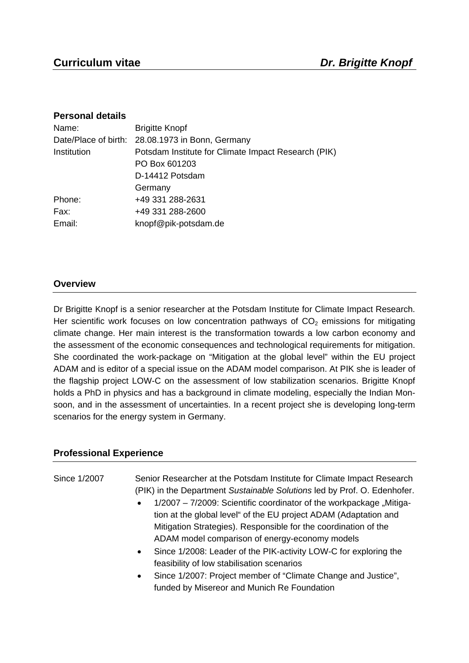### **Personal details**

| Name:                | <b>Brigitte Knopf</b>                               |
|----------------------|-----------------------------------------------------|
| Date/Place of birth: | 28.08.1973 in Bonn, Germany                         |
| Institution          | Potsdam Institute for Climate Impact Research (PIK) |
|                      | PO Box 601203                                       |
|                      | D-14412 Potsdam                                     |
|                      | Germany                                             |
| Phone:               | +49 331 288-2631                                    |
| Fax:                 | +49 331 288-2600                                    |
| Email:               | knopf@pik-potsdam.de                                |

# **Overview**

Dr Brigitte Knopf is a senior researcher at the Potsdam Institute for Climate Impact Research. Her scientific work focuses on low concentration pathways of  $CO<sub>2</sub>$  emissions for mitigating climate change. Her main interest is the transformation towards a low carbon economy and the assessment of the economic consequences and technological requirements for mitigation. She coordinated the work-package on "Mitigation at the global level" within the EU project ADAM and is editor of a special issue on the ADAM model comparison. At PIK she is leader of the flagship project LOW-C on the assessment of low stabilization scenarios. Brigitte Knopf holds a PhD in physics and has a background in climate modeling, especially the Indian Monsoon, and in the assessment of uncertainties. In a recent project she is developing long-term scenarios for the energy system in Germany.

## **Professional Experience**

| Since 1/2007 | Senior Researcher at the Potsdam Institute for Climate Impact Research<br>(PIK) in the Department Sustainable Solutions led by Prof. O. Edenhofer.<br>1/2007 – 7/2009: Scientific coordinator of the workpackage "Mitiga-<br>$\bullet$<br>tion at the global level" of the EU project ADAM (Adaptation and<br>Mitigation Strategies). Responsible for the coordination of the<br>ADAM model comparison of energy-economy models<br>Since 1/2008: Leader of the PIK-activity LOW-C for exploring the<br>$\bullet$<br>feasibility of low stabilisation scenarios |
|--------------|----------------------------------------------------------------------------------------------------------------------------------------------------------------------------------------------------------------------------------------------------------------------------------------------------------------------------------------------------------------------------------------------------------------------------------------------------------------------------------------------------------------------------------------------------------------|
|              | Since 1/2007: Project member of "Climate Change and Justice",<br>$\bullet$<br>funded by Misereor and Munich Re Foundation                                                                                                                                                                                                                                                                                                                                                                                                                                      |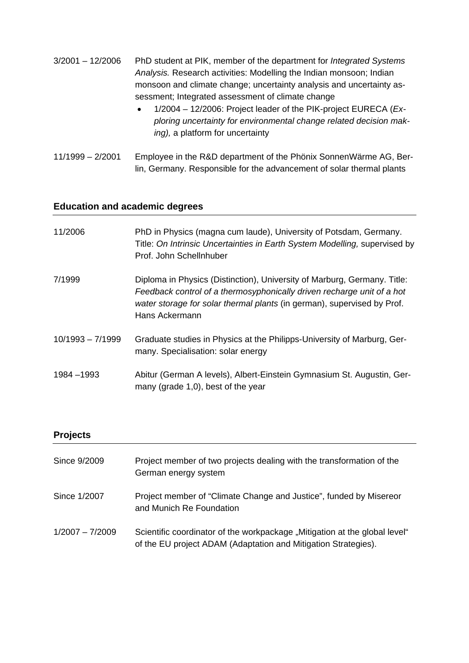| $3/2001 - 12/2006$ | PhD student at PIK, member of the department for <i>Integrated Systems</i> |
|--------------------|----------------------------------------------------------------------------|
|                    | Analysis. Research activities: Modelling the Indian monsoon; Indian        |
|                    | monsoon and climate change; uncertainty analysis and uncertainty as-       |
|                    | sessment; Integrated assessment of climate change                          |
|                    |                                                                            |

- 1/2004 12/2006: Project leader of the PIK-project EURECA (*Exploring uncertainty for environmental change related decision making),* a platform for uncertainty
- 11/1999 2/2001 Employee in the R&D department of the Phönix SonnenWärme AG, Berlin, Germany. Responsible for the advancement of solar thermal plants

# **Education and academic degrees**

| 11/2006            | PhD in Physics (magna cum laude), University of Potsdam, Germany.<br>Title: On Intrinsic Uncertainties in Earth System Modelling, supervised by<br>Prof. John Schellnhuber                                                                      |
|--------------------|-------------------------------------------------------------------------------------------------------------------------------------------------------------------------------------------------------------------------------------------------|
| 7/1999             | Diploma in Physics (Distinction), University of Marburg, Germany. Title:<br>Feedback control of a thermosyphonically driven recharge unit of a hot<br>water storage for solar thermal plants (in german), supervised by Prof.<br>Hans Ackermann |
| $10/1993 - 7/1999$ | Graduate studies in Physics at the Philipps-University of Marburg, Ger-<br>many. Specialisation: solar energy                                                                                                                                   |
| 1984 - 1993        | Abitur (German A levels), Albert-Einstein Gymnasium St. Augustin, Ger-<br>many (grade 1,0), best of the year                                                                                                                                    |

### **Projects**

| Since 9/2009      | Project member of two projects dealing with the transformation of the<br>German energy system                                                |
|-------------------|----------------------------------------------------------------------------------------------------------------------------------------------|
| Since 1/2007      | Project member of "Climate Change and Justice", funded by Misereor<br>and Munich Re Foundation                                               |
| $1/2007 - 7/2009$ | Scientific coordinator of the workpackage "Mitigation at the global level"<br>of the EU project ADAM (Adaptation and Mitigation Strategies). |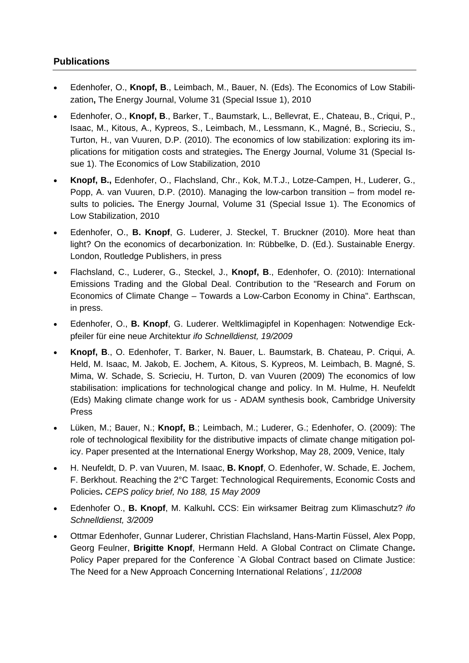# **Publications**

- Edenhofer, O., **Knopf, B**., Leimbach, M., Bauer, N. (Eds). The Economics of Low Stabilization**,** The Energy Journal, Volume 31 (Special Issue 1), 2010
- Edenhofer, O., **Knopf, B**., Barker, T., Baumstark, L., Bellevrat, E., Chateau, B., Criqui, P., Isaac, M., Kitous, A., Kypreos, S., Leimbach, M., Lessmann, K., Magné, B., Scrieciu, S., Turton, H., van Vuuren, D.P. (2010). The economics of low stabilization: exploring its implications for mitigation costs and strategies**.** The Energy Journal, Volume 31 (Special Issue 1). The Economics of Low Stabilization, 2010
- **Knopf, B.,** Edenhofer, O., Flachsland, Chr., Kok, M.T.J., Lotze-Campen, H., Luderer, G., Popp, A. van Vuuren, D.P. (2010). Managing the low-carbon transition – from model results to policies**.** The Energy Journal, Volume 31 (Special Issue 1). The Economics of Low Stabilization, 2010
- Edenhofer, O., **B. Knopf**, G. Luderer, J. Steckel, T. Bruckner (2010). More heat than light? On the economics of decarbonization. In: Rübbelke, D. (Ed.). Sustainable Energy. London, Routledge Publishers, in press
- Flachsland, C., Luderer, G., Steckel, J., **Knopf, B**., Edenhofer, O. (2010): International Emissions Trading and the Global Deal. Contribution to the "Research and Forum on Economics of Climate Change – Towards a Low-Carbon Economy in China". Earthscan, in press.
- Edenhofer, O., **B. Knopf**, G. Luderer. Weltklimagipfel in Kopenhagen: Notwendige Eckpfeiler für eine neue Architektur *ifo Schnelldienst, 19/2009*
- **Knopf, B**., O. Edenhofer, T. Barker, N. Bauer, L. Baumstark, B. Chateau, P. Criqui, A. Held, M. Isaac, M. Jakob, E. Jochem, A. Kitous, S. Kypreos, M. Leimbach, B. Magné, S. Mima, W. Schade, S. Scrieciu, H. Turton, D. van Vuuren (2009) The economics of low stabilisation: implications for technological change and policy. In M. Hulme, H. Neufeldt (Eds) Making climate change work for us - ADAM synthesis book, Cambridge University Press
- Lüken, M.; Bauer, N.; **Knopf, B**.; Leimbach, M.; Luderer, G.; Edenhofer, O. (2009): The role of technological flexibility for the distributive impacts of climate change mitigation policy. Paper presented at the International Energy Workshop, May 28, 2009, Venice, Italy
- H. Neufeldt, D. P. van Vuuren, M. Isaac, **B. Knopf**, O. Edenhofer, W. Schade, E. Jochem, F. Berkhout. Reaching the 2°C Target: Technological Requirements, Economic Costs and Policies**.** *CEPS policy brief, No 188, 15 May 2009*
- Edenhofer O., **B. Knopf**, M. Kalkuhl**.** CCS: Ein wirksamer Beitrag zum Klimaschutz? *ifo Schnelldienst, 3/2009*
- Ottmar Edenhofer, Gunnar Luderer, Christian Flachsland, Hans-Martin Füssel, Alex Popp, Georg Feulner, **Brigitte Knopf**, Hermann Held. A Global Contract on Climate Change**.** Policy Paper prepared for the Conference `A Global Contract based on Climate Justice: The Need for a New Approach Concerning International Relations´*, 11/2008*